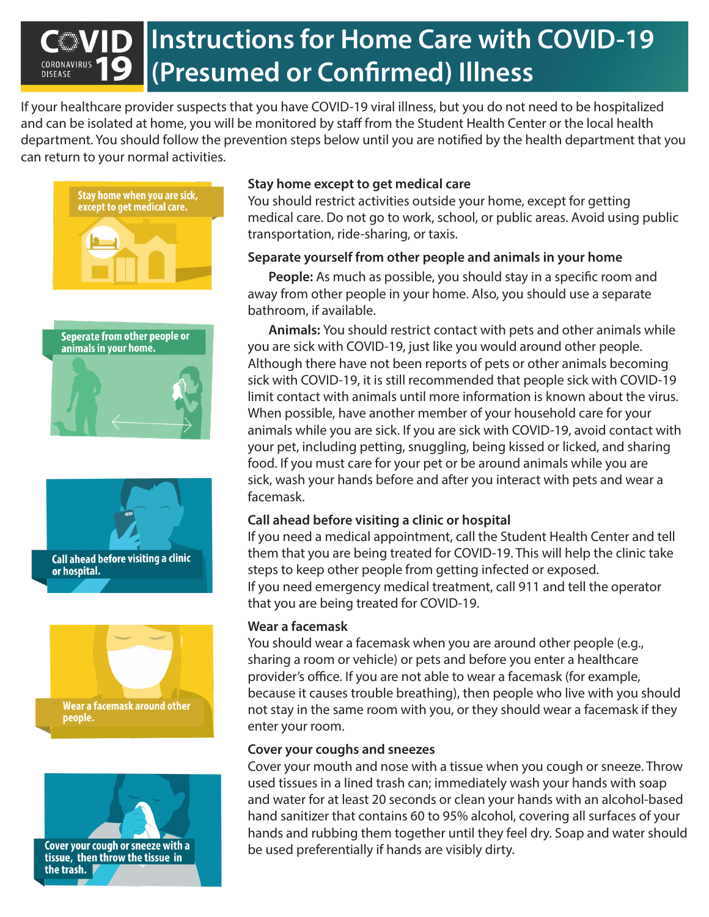# **Instructions for Home Care with COVID-19 (Presumed or Confirmed) IllnessDISEASE**

If your healthcare provider suspects that you have COVID-19 viral illness, but you do not need to be hospitalized and can be isolated at home, you will be monitored by staff from the Student Health Center or the local health department. You should follow the prevention steps below until you are notified by the health department that you can return to your normal activities.











# **Stay home except to get medical care**

You should restrict activities outside your home, except for getting medical care. Do not go to work, school, or public areas. Avoid using public transportation, ride-sharing, or taxis.

## **Separate yourself from other people and animals in your home**

**People:** As much as possible, you should stay in a specific room and away from other people in your home. Also, you should use a separate bathroom, if available.

**Animals:** You should restrict contact with pets and other animals while you are sick with COVID-19, just like you would around other people. Although there have not been reports of pets or other animals becoming sick with COVID-19, it is still recommended that people sick with COVID-19 limit contact with animals until more information is known about the virus. When possible, have another member of your household care for your animals while you are sick. If you are sick with COVID-19, avoid contact with your pet, including petting, snuggling, being kissed or licked, and sharing food. If you must care for your pet or be around animals while you are sick, wash your hands before and after you interact with pets and wear a facemask.

## **Call ahead before visiting a clinic or hospital**

If you need a medical appointment, call the Student Health Center and tell them that you are being treated for COVID-19. This will help the clinic take steps to keep other people from getting infected or exposed. If you need emergency medical treatment, call 911 and tell the operator that you are being treated for COVID-19.

## **Wear a facemask**

You should wear a facemask when you are around other people (e.g., sharing a room or vehicle) or pets and before you enter a healthcare provider's office. If you are not able to wear a facemask (for example, because it causes trouble breathing), then people who live with you should not stay in the same room with you, or they should wear a facemask if they enter your room.

## **Cover your coughs and sneezes**

Cover your mouth and nose with a tissue when you cough or sneeze. Throw used tissues in a lined trash can; immediately wash your hands with soap and water for at least 20 seconds or clean your hands with an alcohol-based hand sanitizer that contains 60 to 95% alcohol, covering all surfaces of your hands and rubbing them together until they feel dry. Soap and water should be used preferentially if hands are visibly dirty.